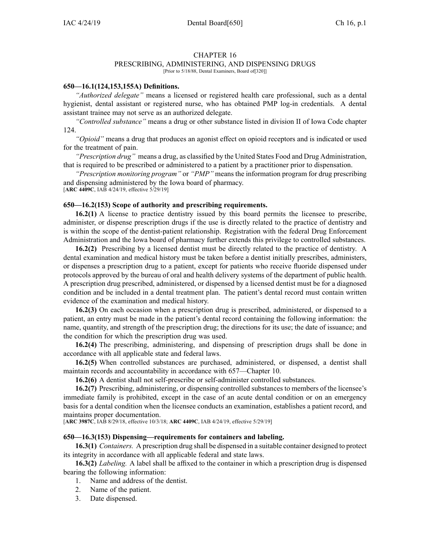### CHAPTER 16

### PRESCRIBING, ADMINISTERING, AND DISPENSING DRUGS

[Prior to 5/18/88, Dental Examiners, Board of [320]]

#### **650—16.1(124,153,155A) Definitions.**

*"Authorized delegate"* means <sup>a</sup> licensed or registered health care professional, such as <sup>a</sup> dental hygienist, dental assistant or registered nurse, who has obtained PMP log-in credentials. A dental assistant trainee may not serve as an authorized delegate.

*"Controlled substance"* means <sup>a</sup> drug or other substance listed in division II of Iowa Code chapter [124](https://www.legis.iowa.gov/docs/ico/chapter/124.pdf).

*"Opioid"* means <sup>a</sup> drug that produces an agonist effect on opioid receptors and is indicated or used for the treatment of pain.

*"Prescription drug"* means <sup>a</sup> drug, as classified by the United States Food and Drug Administration, that is required to be prescribed or administered to <sup>a</sup> patient by <sup>a</sup> practitioner prior to dispensation.

*"Prescription monitoring program"* or *"PMP"* means the information program for drug prescribing and dispensing administered by the Iowa board of pharmacy.

[**ARC [4409C](https://www.legis.iowa.gov/docs/aco/arc/4409C.pdf)**, IAB 4/24/19, effective 5/29/19]

#### **650—16.2(153) Scope of authority and prescribing requirements.**

**16.2(1)** A license to practice dentistry issued by this board permits the licensee to prescribe, administer, or dispense prescription drugs if the use is directly related to the practice of dentistry and is within the scope of the dentist-patient relationship. Registration with the federal Drug Enforcement Administration and the Iowa board of pharmacy further extends this privilege to controlled substances.

**16.2(2)** Prescribing by <sup>a</sup> licensed dentist must be directly related to the practice of dentistry. A dental examination and medical history must be taken before <sup>a</sup> dentist initially prescribes, administers, or dispenses <sup>a</sup> prescription drug to <sup>a</sup> patient, excep<sup>t</sup> for patients who receive fluoride dispensed under protocols approved by the bureau of oral and health delivery systems of the department of public health. A prescription drug prescribed, administered, or dispensed by <sup>a</sup> licensed dentist must be for <sup>a</sup> diagnosed condition and be included in <sup>a</sup> dental treatment plan. The patient's dental record must contain written evidence of the examination and medical history.

**16.2(3)** On each occasion when <sup>a</sup> prescription drug is prescribed, administered, or dispensed to <sup>a</sup> patient, an entry must be made in the patient's dental record containing the following information: the name, quantity, and strength of the prescription drug; the directions for its use; the date of issuance; and the condition for which the prescription drug was used.

**16.2(4)** The prescribing, administering, and dispensing of prescription drugs shall be done in accordance with all applicable state and federal laws.

**16.2(5)** When controlled substances are purchased, administered, or dispensed, <sup>a</sup> dentist shall maintain records and accountability in accordance with 657—Chapter 10.

**16.2(6)** A dentist shall not self-prescribe or self-administer controlled substances.

**16.2(7)** Prescribing, administering, or dispensing controlled substances to members of the licensee's immediate family is prohibited, excep<sup>t</sup> in the case of an acute dental condition or on an emergency basis for <sup>a</sup> dental condition when the licensee conducts an examination, establishes <sup>a</sup> patient record, and maintains proper documentation.

[**ARC [3987C](https://www.legis.iowa.gov/docs/aco/arc/3987C.pdf)**, IAB 8/29/18, effective 10/3/18; **ARC [4409C](https://www.legis.iowa.gov/docs/aco/arc/4409C.pdf)**, IAB 4/24/19, effective 5/29/19]

#### **650—16.3(153) Dispensing—requirements for containers and labeling.**

**16.3(1)** *Containers.* A prescription drug shall be dispensed in <sup>a</sup> suitable container designed to protect its integrity in accordance with all applicable federal and state laws.

**16.3(2)** *Labeling.* A label shall be affixed to the container in which <sup>a</sup> prescription drug is dispensed bearing the following information:

- 1. Name and address of the dentist.
- 2. Name of the patient.
- 3. Date dispensed.